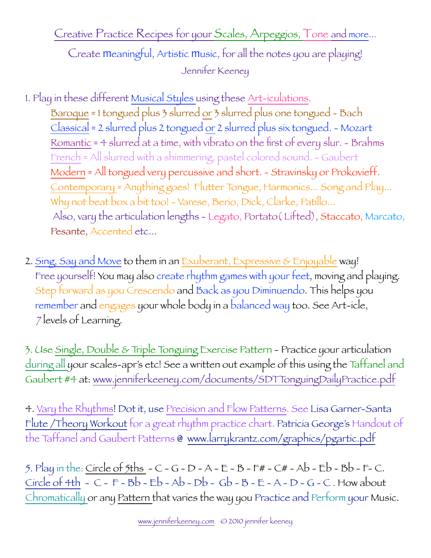Create meaningful, Artistic music, for all the notes you are playing! Jennifer Keeney

- 1. Play in these different Musical Styles using these Art-iculations. Baroque = 1 tongued plus 3 slurred or 3 slurred plus one tongued - Bach Classical = 2 slurred plus 2 tongued or 2 slurred plus six tongued. - Mozart Romantic  $\approx$  4 slurred at a time, with vibrato on the first of every slur.  $\sim$  Brahms French = All slurred with a shimmering, pastel colored sound. - Gaubert Modern = All tongued very percussive and short. - Stravinsky or Prokovieff. Contemporary = Anything goes! Flutter Tongue, Harmonics... Song and Play... Why not beat box a bit too! - Varese, Berio, Dick, Clarke, Patillo... Also, vary the articulation lengths - Legato, Portato( Lifted), Staccato, Marcato, Pesante, Accented etc...
- 2. Sing, Say and Move to them in an Exuberant, Expressive & Enjoyable way! Free yourself! You may also create rhythm games with your feet, moving and playing. Step forward as you Crescendo and Back as you Diminuendo. This helps you remember and engages your whole body in a balanced way too. See Art-icle, 7 levels of Learning.

3. Use Single, Double & Triple Tonguing Exercise Pattern - Practice your articulation during all your scales-apr's etc! See a written out example of this using the Taffanel and Gaubert #4 at: [www.jenniferkeeney.com/documents/SDTTonguingDailyPractice.pdf](http://www.jenniferkeeney.com/documents/SDTTonguingDailyPractice.pdf)

4. Vary the Rhythms! Dot it, use Precision and Flow Patterns. See Lisa Garner-Santa Flute /Theory Workout for a great rhythm practice chart. Patricia George's Handout of the Taffanel and Gaubert Patterns @ [www.larrykrantz.com/graphics/pgartic.pdf](http://www.larrykrantz.com/graphics/pgartic.pdf)

5. Play in the: Circle of 5ths  $-C$  - G - D - A - E - B - F# - C# - Ab - Eb - Bb - F- C.  $Circle of 4th - C - F - Bb - Eb - Ab - Db - Gb - B - E - A - D - G - C. How about$ Chromatically or any Pattern that varies the way you Practice and Perform your Music.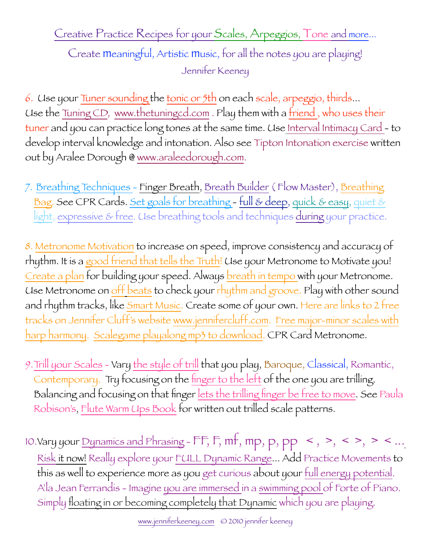Create meaningful, Artistic music, for all the notes you are playing! Jennifer Keeney

6. Use your Tuner sounding the tonic or 5th on each scale, arpeggio, thirds... Use the Tuning CD, [www.thetuningcd.com](http://www.thetuningcd.com). Play them with a friend, who uses their tuner and you can practice long tones at the same time. Use Interval Intimacy Card - to develop interval knowledge and intonation. Also see Tipton Intonation exercise written out by Aralee Dorough @ www.araleedorough.com.

7. Breathing Techniques - Finger Breath, Breath Builder (Flow Master), Breathing Bag. See CPR Cards. Set goals for breathing - full & deep, quick & easy, quiet & light, expressive & free. Use breathing tools and techniques during your practice.

8. Metronome Motivation to increase on speed, improve consistency and accuracy of rhythm. It is a good friend that tells the Truth! Use your Metronome to Motivate you! Create a plan for building your speed. Always breath in tempo with your Metronome. Use Metronome on off beats to check your rhythm and groove. Play with other sound and rhythm tracks, like Smart Music. Create some of your own. Here are links to 2 free tracks on Jennifer Cluff's website [www.jennifercluff.com](http://www.jennifercluff.com). [Free major-minor scales with](http://www.jennifercluff.com/blog/2007/09/free-major-minor-scales-with-harp.html)  [harp harmony](http://www.jennifercluff.com/blog/2007/09/free-major-minor-scales-with-harp.html). [Scalegame playalong mp3 to download](http://www.jennifercluff.com/blog/2007/07/scalegame-playalong-mp3-to-download.html). CPR Card Metronome.

- 9.Trill your Scales Vary the style of trill that you play, Baroque, Classical, Romantic, Contemporary. Try focusing on the finger to the left of the one you are trilling. Balancing and focusing on that finger lets the trilling finger be free to move. See Paula Robison's, Flute Warm Ups Book for written out trilled scale patterns.
- 10. Vary your Dynamics and Phrasing  $\mathsf{FF}, \mathsf{F}, \mathsf{mf}, \mathsf{mp}, \mathsf{pp} \leq, >, <>, <, < \dots$ Risk it now! Really explore your FULL Dynamic Range... Add Practice Movements to this as well to experience more as you get curious about your full energy potential. A'la Jean Ferrandis - Imagine you are immersed in a swimming pool of Forte of Piano. Simply floating in or becoming completely that Dynamic which you are playing.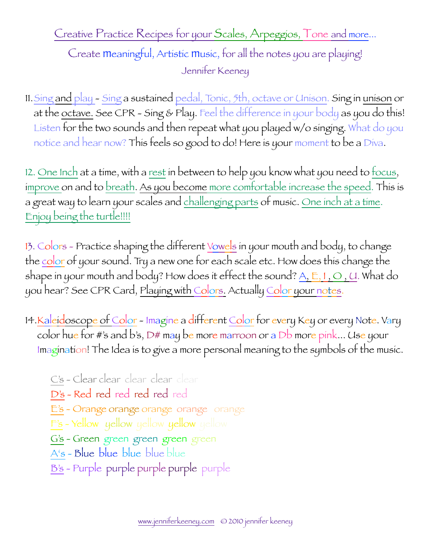Create meaningful, Artistic music, for all the notes you are playing! Jennifer Keeney

11.Sing and play - Sing a sustained pedal, Tonic, 5th, octave or Unison. Sing in unison or at the octave. See CPR - Sing & Play. Feel the difference in your body as you do this! Listen for the two sounds and then repeat what you played w/o singing. What do you notice and hear now? This feels so good to do! Here is your moment to be a Diva.

12. <u>One Inch</u> at a time, with a <u>rest</u> in between to help you know what you need to <u>focus</u>, improve on and to breath. As you become more comfortable increase the speed. This is a great way to learn your scales and challenging parts of music. One inch at a time. Enjoy being the turtle!!!!

13. Colors - Practice shaping the different Vowels in your mouth and body, to change the color of your sound. Try a new one for each scale etc. How does this change the shape in your mouth and body? How does it effect the sound?  $A, E, I, O, U$ . What do you hear? See CPR Card, Playing with Colors. Actually Color your notes.

14. Kaleidoscope of Color - Imagine a different Color for every Key or every Note. Vary color hue for #'s and b's, D# may be more marroon or a Db more pink... Use your Imagination! The Idea is to give a more personal meaning to the symbols of the music.

C's - Clear clear clear clear clear D's - Red red red red red red E's - Orange orange orange orange orange F's - Yellow yellow yellow yellow yellow G's - Green green green green green A's - Blue blue blue blue blue B's - Purple purple purple purple purple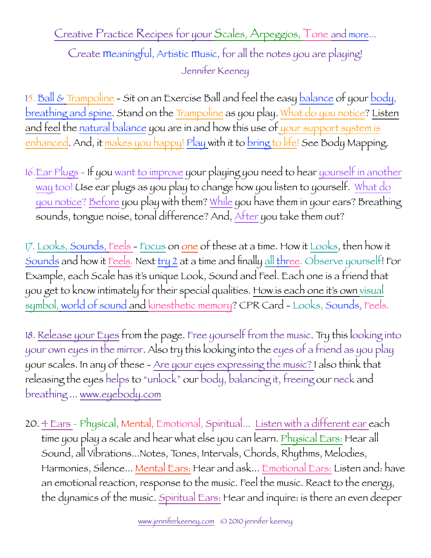Create meaningful, Artistic music, for all the notes you are playing! Jennifer Keeney

15. <u>Ball & Trampoline</u> - Sit on an Exercise Ball and feel the easy balance of your body, breathing and spine. Stand on the Trampoline as you play. What do you notice? Listen and feel the natural balance you are in and how this use of your support system is enhanced. And, it makes you happy! Play with it to bring to life! See Body Mapping.

16.Ear Plugs - If you want to improve your playing you need to hear yourself in another way too! Use ear plugs as you play to change how you listen to yourself. What do you notice? Before you play with them? While you have them in your ears? Breathing sounds, tongue noise, tonal difference? And, After you take them out?

17. Looks, Sounds, Feels - Focus on one of these at a time. How it Looks, then how it Sounds and how it Feels. Next try 2 at a time and finally all three. Observe yourself! For Example, each Scale has it's unique Look, Sound and Feel. Each one is a friend that you get to know intimately for their special qualities. How is each one it's own visual symbol, world of sound and kinesthetic memory? CPR Card - Looks, Sounds, Feels.

18. Release your Eyes from the page. Free yourself from the music. Try this looking into your own eyes in the mirror. Also try this looking into the eyes of a friend as you play your scales. In any of these - Are your eyes expressing the music? I also think that releasing the eyes helps to "unlock" our body, balancing it, freeing our neck and breathing ... www.eyebody.com

20. 4 Ears - Physical, Mental, Emotional, Spiritual... Listen with a different ear each time you play a scale and hear what else you can learn. Physical Ears: Hear all Sound, all Vibrations...Notes, Tones, Intervals, Chords, Rhythms, Melodies, Harmonies, Silence... Mental Ears: Hear and ask... Emotional Ears: Listen and: have an emotional reaction, response to the music. Feel the music. React to the energy, the dynamics of the music. Spiritual Ears: Hear and inquire: is there an even deeper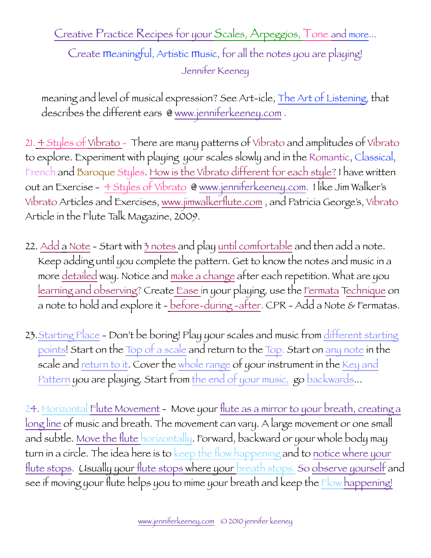Create meaningful, Artistic music, for all the notes you are playing! Jennifer Keeney

meaning and level of musical expression? See Art-icle, The Art of Listening, that describes the different ears @ www.jenniferkeeney.com.

21. 4 Styles of Vibrato - There are many patterns of Vibrato and amplitudes of Vibrato to explore. Experiment with playing your scales slowly and in the Romantic, Classical, French and Baroque Styles. How is the Vibrato different for each style? I have written out an Exercise - 4 Styles of Vibrato @ [www.jenniferkeeney.com.](http://www.jenniferkeeney.com) I like Jim Walker's Vibrato Articles and Exercises, [www.jimwalkerflute.com](http://www.jimwalkerflute.com) , and Patricia George's, Vibrato Article in the Flute Talk Magazine, 2009.

- 22. Add a Note Start with 3 notes and play <u>until comfortable</u> and then add a note. Keep adding until you complete the pattern. Get to know the notes and music in a more detailed way. Notice and make a change after each repetition. What are you learning and observing? Create Ease in your playing. use the Fermata Technique on a note to hold and explore it - before-during -after. CPR - Add a Note & Fermatas.
- 23. Starting Place Don't be boring! Play your scales and music from different starting points! Start on the Top of a scale and return to the Top. Start on any note in the scale and return to it. Cover the whole range of your instrument in the Key and Pattern you are playing. Start from the end of your music, go backwards...

24. Horizontal Flute Movement - Move your flute as a mirror to your breath, creating a long line of music and breath. The movement can vary. A large movement or one small and subtle. Move the flute horizontally. Forward, backward or your whole body may turn in a circle. The idea here is to keep the flow happening and to notice where your flute stops. Usually your flute stops where your breath stops. So observe yourself and see if moving your flute helps you to mime your breath and keep the Flow happening!